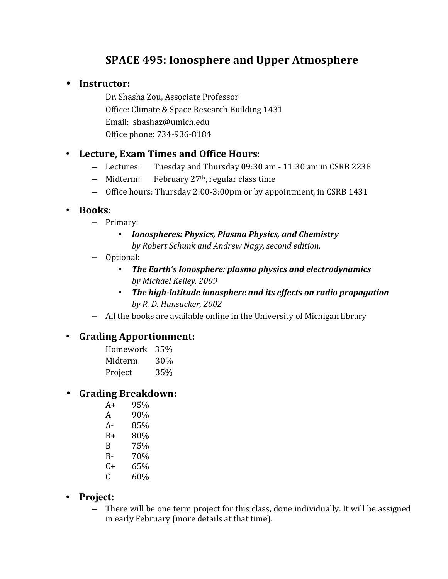# **SPACE 495: Ionosphere and Upper Atmosphere**

## • **Instructor:**

Dr. Shasha Zou, Associate Professor Office: Climate & Space Research Building 1431 Email: shashaz@umich.edu Office phone: 734-936-8184

# • **Lecture, Exam Times and Office Hours**:

- $-$  Lectures: Tuesday and Thursday 09:30 am 11:30 am in CSRB 2238
- $-$  Midterm: February 27<sup>th</sup>, regular class time
- Office hours: Thursday 2:00-3:00pm or by appointment, in CSRB 1431

## • **Books**:

- Primary:
	- *Ionospheres: Physics, Plasma Physics, and Chemistry* by Robert Schunk and Andrew Nagy, second edition.
- Optional:
	- The Earth's Ionosphere: plasma physics and electrodynamics *by Michael Kelley, 2009*
	- The high-latitude ionosphere and its effects on radio propagation *by R. D. Hunsucker, 2002*
- $-$  All the books are available online in the University of Michigan library

# • **Grading Apportionment:**

| Homework | 35% |
|----------|-----|
| Midterm  | 30% |
| Project  | 35% |

# • **Grading Breakdown:**

- A+ 95% A 90\% A- 85% B+ 80% B 75% B- 70%  $C+ 65%$  $C = 60\%$
- **Project:** 
	- There will be one term project for this class, done individually. It will be assigned in early February (more details at that time).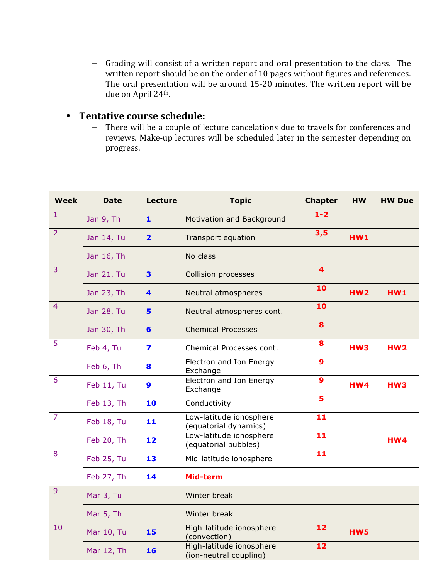- Grading will consist of a written report and oral presentation to the class. The written report should be on the order of 10 pages without figures and references. The oral presentation will be around 15-20 minutes. The written report will be due on April 24<sup>th</sup>.

## • Tentative course schedule:

- There will be a couple of lecture cancelations due to travels for conferences and reviews. Make-up lectures will be scheduled later in the semester depending on progress. 

| <b>Week</b>    | <b>Date</b> | <b>Lecture</b>          | <b>Topic</b>                                       | <b>Chapter</b>          | <b>HW</b>       | <b>HW Due</b>   |
|----------------|-------------|-------------------------|----------------------------------------------------|-------------------------|-----------------|-----------------|
| $\mathbf{1}$   | Jan 9, Th   | $\mathbf{1}$            | Motivation and Background                          | $1 - 2$                 |                 |                 |
| $\overline{2}$ | Jan 14, Tu  | $\overline{\mathbf{2}}$ | <b>Transport equation</b>                          | 3,5                     | HW1             |                 |
|                | Jan 16, Th  |                         | No class                                           |                         |                 |                 |
| 3              | Jan 21, Tu  | 3                       | Collision processes                                | $\overline{\mathbf{4}}$ |                 |                 |
|                | Jan 23, Th  | $\blacktriangleleft$    | Neutral atmospheres                                | 10                      | <b>HW2</b>      | <b>HW1</b>      |
| 4              | Jan 28, Tu  | 5                       | Neutral atmospheres cont.                          | 10                      |                 |                 |
|                | Jan 30, Th  | 6                       | <b>Chemical Processes</b>                          | 8                       |                 |                 |
| 5              | Feb 4, Tu   | $\overline{\mathbf{z}}$ | Chemical Processes cont.                           | 8                       | HW <sub>3</sub> | HW <sub>2</sub> |
|                | Feb 6, Th   | 8                       | Electron and Ion Energy<br>Exchange                | $\mathbf{9}$            |                 |                 |
| 6              | Feb 11, Tu  | $\boldsymbol{9}$        | Electron and Ion Energy<br>Exchange                | $\mathbf{9}$            | <b>HW4</b>      | HW3             |
|                | Feb 13, Th  | 10                      | Conductivity                                       | 5                       |                 |                 |
| $\overline{7}$ | Feb 18, Tu  | 11                      | Low-latitude ionosphere<br>(equatorial dynamics)   | 11                      |                 |                 |
|                | Feb 20, Th  | 12                      | Low-latitude ionosphere<br>(equatorial bubbles)    | 11                      |                 | HW4             |
| 8              | Feb 25, Tu  | 13                      | Mid-latitude ionosphere                            | 11                      |                 |                 |
|                | Feb 27, Th  | 14                      | Mid-term                                           |                         |                 |                 |
| 9              | Mar 3, Tu   |                         | Winter break                                       |                         |                 |                 |
|                | Mar 5, Th   |                         | Winter break                                       |                         |                 |                 |
| 10             | Mar 10, Tu  | 15                      | High-latitude ionosphere<br>(convection)           | $12 \overline{ }$       | HW5             |                 |
|                | Mar 12, Th  | 16                      | High-latitude ionosphere<br>(ion-neutral coupling) | 12                      |                 |                 |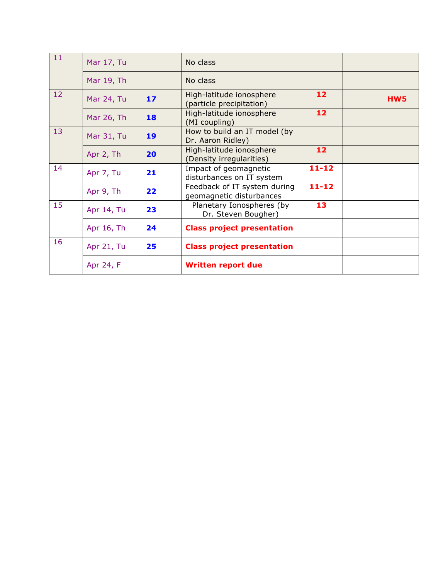| 11 | Mar 17, Tu |    | No class                                                 |                 |     |
|----|------------|----|----------------------------------------------------------|-----------------|-----|
|    | Mar 19, Th |    | No class                                                 |                 |     |
| 12 | Mar 24, Tu | 17 | High-latitude ionosphere<br>(particle precipitation)     | 12              | HW5 |
|    | Mar 26, Th | 18 | High-latitude ionosphere<br>(MI coupling)                | 12 <sub>2</sub> |     |
| 13 | Mar 31, Tu | 19 | How to build an IT model (by<br>Dr. Aaron Ridley)        |                 |     |
|    | Apr 2, Th  | 20 | High-latitude ionosphere<br>(Density irregularities)     | 12              |     |
| 14 | Apr 7, Tu  | 21 | Impact of geomagnetic<br>disturbances on IT system       | $11 - 12$       |     |
|    | Apr 9, Th  | 22 | Feedback of IT system during<br>geomagnetic disturbances | $11 - 12$       |     |
| 15 | Apr 14, Tu | 23 | Planetary Ionospheres (by<br>Dr. Steven Bougher)         | 13              |     |
|    | Apr 16, Th | 24 | <b>Class project presentation</b>                        |                 |     |
| 16 | Apr 21, Tu | 25 | <b>Class project presentation</b>                        |                 |     |
|    | Apr 24, F  |    | <b>Written report due</b>                                |                 |     |